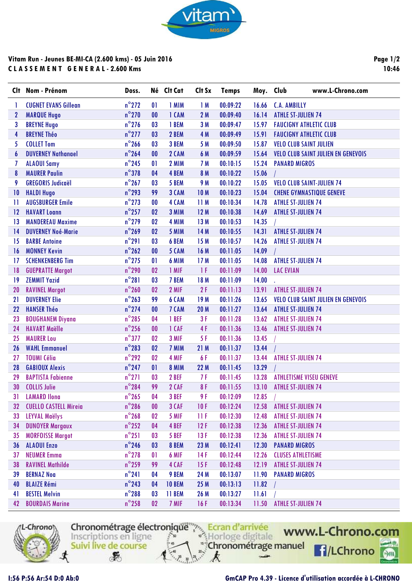

## **Vitam Run - Jeunes BE-MI-CA (2.600 kms) - 05 Juin 2016 C L A S S E M E N T G E N E R A L - 2.600 Kms**

**Page 1/2 10:46**

| Clt.         | Nom - Prénom                 | Doss.           |              | Né Clt Cat    | Clt Sx          | <b>Temps</b> | Moy. Club | www.L-Chrono.com                          |
|--------------|------------------------------|-----------------|--------------|---------------|-----------------|--------------|-----------|-------------------------------------------|
| 1            | <b>CUGNET EVANS Gillean</b>  | $n^{\circ}$ 272 | $\mathbf{0}$ | 1 MIM         | 1M              | 00:09:22     | 16.66     | <b>C.A. AMBILLY</b>                       |
| $\mathbf{2}$ | <b>MARQUE Hugo</b>           | $n^{\circ}$ 270 | $\bf{00}$    | 1 CAM         | 2M              | 00:09:40     | 16.14     | <b>ATHLE ST-JULIEN 74</b>                 |
| 3            | <b>BREYNE Hugo</b>           | $n^{\circ}$ 276 | 03           | 1 BEM         | 3M              | 00:09:47     | 15.97     | <b>FAUCIGNY ATHLETIC CLUB</b>             |
| 4            | <b>BREYNE Théo</b>           | $n^{\circ}$ 277 | 03           | 2 BEM         | 4 M             | 00:09:49     | 15.91     | <b>FAUCIGNY ATHLETIC CLUB</b>             |
| 5            | <b>COLLET Tom</b>            | $n^{\circ}$ 266 | 03           | 3 BEM         | 5 M             | 00:09:50     | 15.87     | <b>VELO CLUB SAINT JULIEN</b>             |
| 6            | <b>DUVERNEY Nathanael</b>    | $n^{\circ}$ 264 | $\bf{00}$    | 2 CAM         | 6 M             | 00:09:59     | 15.64     | <b>VELO CLUB SAINT JULIEN EN GENEVOIS</b> |
| 7            | <b>ALAOUI Samy</b>           | $n^{\circ}$ 245 | $\mathbf{0}$ | 2 MIM         | 7 M             | 00:10:15     | 15.24     | <b>PANARD MIGROS</b>                      |
| 8            | <b>MAURER Paulin</b>         | $n^{\circ}378$  | 04           | 4 BEM         | 8 M             | 00:10:22     | 15.06     |                                           |
| 9            | <b>GREGORIS Judicaël</b>     | $n^{\circ}$ 267 | 03           | 5 BEM         | 9 M             | 00:10:22     | 15.05     | <b>VELO CLUB SAINT-JULIEN 74</b>          |
| 10           | <b>HALDI Hugo</b>            | $n^{\circ}$ 293 | 99           | 3 CAM         | <b>10M</b>      | 00:10:23     | 15.04     | <b>CHENE GYMNASTIQUE GENEVE</b>           |
| П            | <b>AUGSBURGER Emile</b>      | $n^{\circ}$ 273 | $\bf{00}$    | 4 CAM         | 11M             | 00:10:34     | 14.78     | <b>ATHLE ST-JULIEN 74</b>                 |
| 12           | <b>HAVART Loann</b>          | $n^{\circ}$ 257 | 02           | 3 MIM         | 12M             | 00:10:38     | 14.69     | <b>ATHLE ST-JULIEN 74</b>                 |
| 13           | <b>MANDEREAU Maxime</b>      | $n^{\circ}$ 279 | 02           | 4 MIM         | 13M             | 00:10:53     | 14.35     |                                           |
| 14           | <b>DUVERNEY Noé-Marie</b>    | $n^{\circ}$ 269 | 02           | 5 MIM         | 14 M            | 00:10:55     | 14.31     | <b>ATHLE ST-JULIEN 74</b>                 |
| 15           | <b>BARBE Antoine</b>         | $n^{\circ}291$  | 03           | 6 BEM         | 15 M            | 00:10:57     | 14.26     | <b>ATHLE ST-JULIEN 74</b>                 |
| 16           | <b>MONNEY Kevin</b>          | $n^{\circ}$ 262 | $\bf{00}$    | 5 CAM         | 16 M            | 00:11:05     | 14.09     |                                           |
| 17           | <b>SCHENKENBERG Tim</b>      | $n^{\circ}$ 275 | 01           | 6 MIM         | 17M             | 00:11:05     | 14.08     | <b>ATHLE ST-JULIEN 74</b>                 |
| 18           | <b>GUEPRATTE Margot</b>      | $n^{\circ}$ 290 | 02           | 1 MIF         | 1F              | 00:11:09     | 14.00     | <b>LAC EVIAN</b>                          |
| 19           | <b>ZEMMIT Yazid</b>          | $n^{\circ}281$  | 03           | 7 BEM         | 18 M            | 00:11:09     | 14.00     |                                           |
| 20           | <b>RAVINEL Margot</b>        | $n^{\circ}$ 260 | 02           | 2 MIF         | 2F              | 00:11:13     | 13.91     | <b>ATHLE ST-JULIEN 74</b>                 |
| 21           | <b>DUVERNEY Elie</b>         | $n^{\circ}$ 263 | 99           | 6 CAM         | 19 <sub>M</sub> | 00:11:26     | 13.65     | <b>VELO CLUB SAINT JULIEN EN GENEVOIS</b> |
| 22           | <b>HANSER Théo</b>           | $n^{\circ}$ 274 | $\bf{00}$    | 7 CAM         | <b>20 M</b>     | 00:11:27     | 13.64     | <b>ATHLE ST-JULIEN 74</b>                 |
| 23           | <b>BOUGHANEM Diyana</b>      | $n^{\circ}$ 285 | 04           | 1 BEF         | 3F              | 00:11:28     | 13.62     | <b>ATHLE ST-JULIEN 74</b>                 |
| 24           | <b>HAVART Maëlle</b>         | $n^{\circ}$ 256 | 00           | 1 CAF         | 4F              | 00:11:36     | 13.46     | <b>ATHLE ST-JULIEN 74</b>                 |
| 25           | <b>MAURER Lou</b>            | $n^{\circ}377$  | 02           | 3 MIF         | 5F              | 00:11:36     | 13.45     |                                           |
| 26           | <b>WAHL Emmanuel</b>         | $n^{\circ}$ 283 | 02           | 7 MIM         | 21 M            | 00:11:37     | 13.44     |                                           |
| 27           | <b>TOUMI Célia</b>           | $n^{\circ}$ 292 | 02           | 4 MIF         | 6F              | 00:11:37     | 13.44     | <b>ATHLE ST-JULIEN 74</b>                 |
| 28           | <b>GABIOUX Alexis</b>        | $n^{\circ}$ 247 | 01           | 8 MIM         | 22 M            | 00:11:45     | 13.29     |                                           |
| 29           | <b>BAPTISTA Fabienne</b>     | $n^{\circ}271$  | 03           | 2 BEF         | 7 F             | 00:11:45     | 13.28     | <b>ATHLETISME VISEU GENEVE</b>            |
| 30           | <b>COLLIS Julie</b>          | $n^{\circ}$ 284 | 99           | 2 CAF         | 8F              | 00:11:55     | 13.10     | <b>ATHLE ST-JULIEN 74</b>                 |
| 31           | <b>LAMARD Ilona</b>          | $n^{\circ}$ 265 | 04           | 3 BEF         | 9 F             | 00:12:09     | 12.85     |                                           |
| 32           | <b>CUELLO CASTELL Mireia</b> | $n^{\circ}$ 286 | $\bf{00}$    | 3 CAF         | 10F             | 00:12:24     | 12.58     | <b>ATHLE ST-JULIEN 74</b>                 |
| 33           | <b>LEYVAL Maëlys</b>         | $n^{\circ}$ 268 | 02           | 5 MIF         | 11 F            | 00:12:30     | 12.48     | <b>ATHLE ST-JULIEN 74</b>                 |
| 34           | <b>DUNOYER Margaux</b>       | $n^{\circ}$ 252 | 04           | 4 BEF         | 12F             | 00:12:38     | 12.36     | <b>ATHLE ST-JULIEN 74</b>                 |
| 35           | <b>MORFOISSE Margot</b>      | $n^{\circ}251$  | 03           | 5 BEF         | 13F             | 00:12:38     | 12.36     | <b>ATHLE ST-JULIEN 74</b>                 |
| 36           | <b>ALAOUI Enzo</b>           | $n^{\circ}$ 246 | 03           | 8 BEM         | 23 M            | 00:12:41     | 12.30     | <b>PANARD MIGROS</b>                      |
| 37           | <b>NEUMER Emma</b>           | $n^{\circ}$ 278 | $\mathbf{0}$ | 6 MIF         | 14F             | 00:12:44     | 12.26     | <b>CLUSES ATHLETISME</b>                  |
| 38           | <b>RAVINEL Mathilde</b>      | $n^{\circ}$ 259 | 99           | 4 CAF         | 15F             | 00:12:48     | 12.19     | <b>ATHLE ST-JULIEN 74</b>                 |
| 39           | <b>BERNAZ Noa</b>            | $n^{\circ}241$  | 04           | 9 BEM         | 24 M            | 00:13:07     | 11.90     | <b>PANARD MIGROS</b>                      |
| 40           | <b>BLAIZE Rémi</b>           | $n^{\circ}$ 243 | 04           | <b>10 BEM</b> | 25 M            | 00:13:13     | 11.82     |                                           |
| 41           | <b>BESTEL Melvin</b>         | $n^{\circ}$ 288 | 03           | 11 BEM        | 26 M            | 00:13:27     | 11.61     |                                           |
| 42           | <b>BOURDAIS Marine</b>       | $n^{\circ}$ 258 | 02           | 7 MIF         | 16F             | 00:13:34     | 11.50     | <b>ATHLE ST-JULIEN 74</b>                 |



Suivi live de course

 $\mathcal{F}$ 

Chronométrage électronique<sup>ment</sup> Ecran d'arrivée<br>Inscriptions en ligne

k

 $-2$ 

www.L-Chrono.com "<sup>#</sup>Chronométrage manuel **f**/LChrono

**SHA**